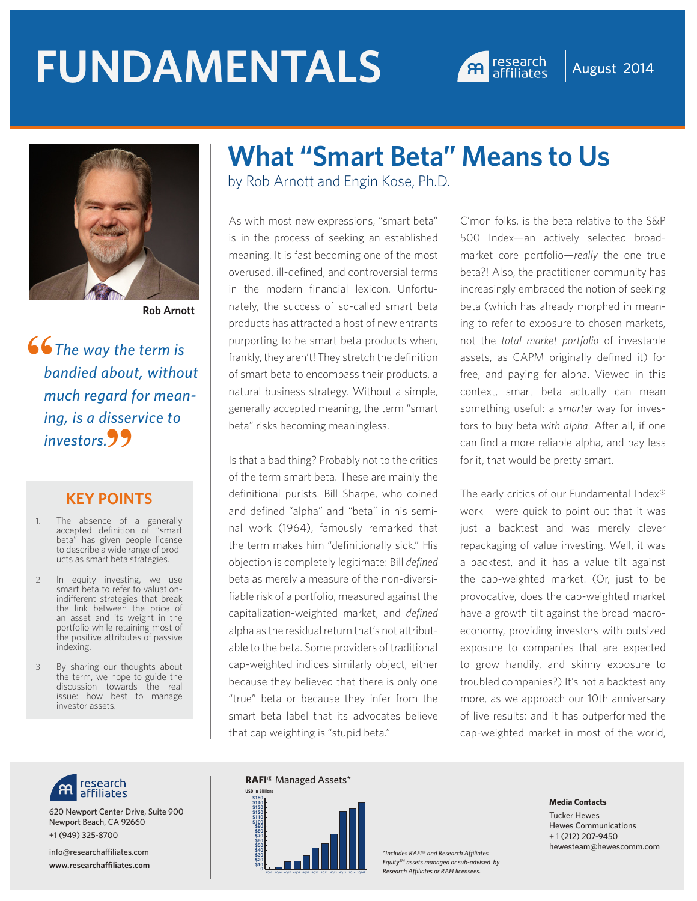# **FUNDAMENTALS A research August 2014**





**Rob Arnott**

 *The way the term is bandied about, without much regard for meaning, is a disservice to*  investors.99 **"**

#### **KEY POINTS**

- 1. The absence of a generally accepted definition of "smart beta" has given people license to describe a wide range of products as smart beta strategies.
- 2. In equity investing, we use smart beta to refer to valuationindifferent strategies that break the link between the price of an asset and its weight in the portfolio while retaining most of the positive attributes of passive indexing.
- 3. By sharing our thoughts about the term, we hope to guide the discussion towards the real issue: how best to manage investor assets.



620 Newport Center Drive, Suite 900 Newport Beach, CA 92660 +1 (949) 325-8700

info@researchaffiliates.com **www.researchaffiliates.com**

## **What "Smart Beta" Means to Us**

by Rob Arnott and Engin Kose, Ph.D.

As with most new expressions, "smart beta" is in the process of seeking an established meaning. It is fast becoming one of the most overused, ill-defined, and controversial terms in the modern financial lexicon. Unfortunately, the success of so-called smart beta products has attracted a host of new entrants purporting to be smart beta products when, frankly, they aren't! They stretch the definition of smart beta to encompass their products, a natural business strategy. Without a simple, generally accepted meaning, the term "smart beta" risks becoming meaningless.

Is that a bad thing? Probably not to the critics of the term smart beta. These are mainly the definitional purists. Bill Sharpe, who coined and defined "alpha" and "beta" in his seminal work (1964), famously remarked that the term makes him "definitionally sick." His objection is completely legitimate: Bill *defined* beta as merely a measure of the non-diversifiable risk of a portfolio, measured against the capitalization-weighted market, and *defined* alpha as the residual return that's not attributable to the beta. Some providers of traditional cap-weighted indices similarly object, either because they believed that there is only one "true" beta or because they infer from the smart beta label that its advocates believe that cap weighting is "stupid beta."

C'mon folks, is the beta relative to the S&P 500 Index—an actively selected broadmarket core portfolio—*really* the one true beta?! Also, the practitioner community has increasingly embraced the notion of seeking beta (which has already morphed in meaning to refer to exposure to chosen markets, not the *total market portfolio* of investable assets, as CAPM originally defined it) for free, and paying for alpha. Viewed in this context, smart beta actually can mean something useful: a *smarter* way for investors to buy beta *with alpha*. After all, if one can find a more reliable alpha, and pay less for it, that would be pretty smart.

The early critics of our Fundamental Index® work were quick to point out that it was just a backtest and was merely clever repackaging of value investing. Well, it was a backtest, and it has a value tilt against the cap-weighted market. (Or, just to be provocative, does the cap-weighted market have a growth tilt against the broad macroeconomy, providing investors with outsized exposure to companies that are expected to grow handily, and skinny exposure to troubled companies?) It's not a backtest any more, as we approach our 10th anniversary of live results; and it has outperformed the cap-weighted market in most of the world,

#### **RAFI®** Managed Assets\*



*\*Includes RAFI® and Research Affiliates EquityTM assets managed or sub-advised by Research Affiliates or RAFI licensees.* **<sup>0</sup> \$10**

#### **Media Contacts**

Tucker Hewes Hewes Communications + 1 (212) 207-9450 hewesteam@hewescomm.com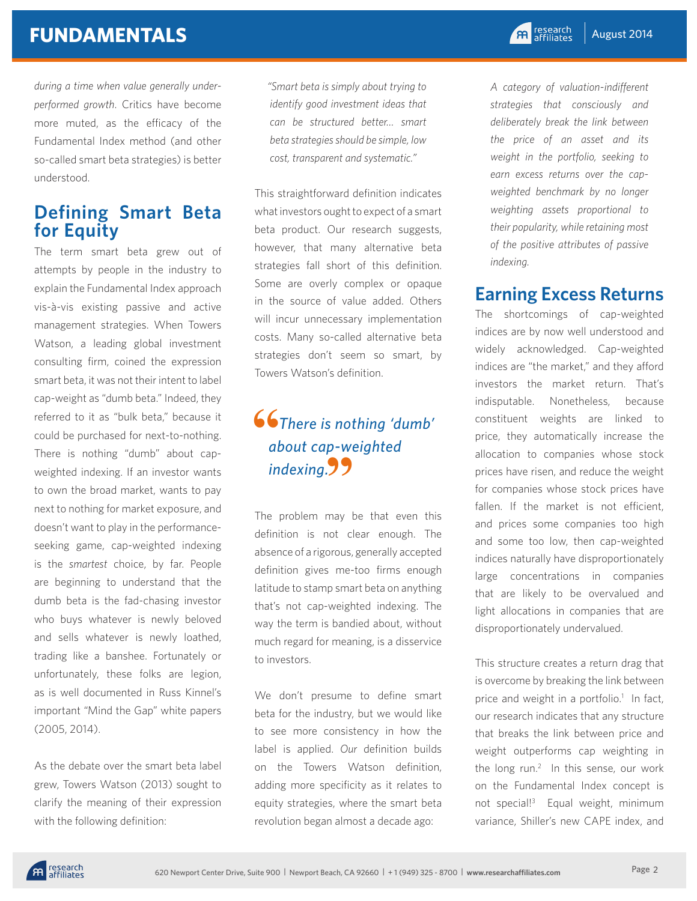*during a time when value generally underperformed growth*. Critics have become more muted, as the efficacy of the Fundamental Index method (and other so-called smart beta strategies) is better understood.

## **Defining Smart Beta for Equity**

The term smart beta grew out of attempts by people in the industry to explain the Fundamental Index approach vis-à-vis existing passive and active management strategies. When Towers Watson, a leading global investment consulting firm, coined the expression smart beta, it was not their intent to label cap-weight as "dumb beta." Indeed, they referred to it as "bulk beta," because it could be purchased for next-to-nothing. There is nothing "dumb" about capweighted indexing. If an investor wants to own the broad market, wants to pay next to nothing for market exposure, and doesn't want to play in the performanceseeking game, cap-weighted indexing is the *smartest* choice, by far. People are beginning to understand that the dumb beta is the fad-chasing investor who buys whatever is newly beloved and sells whatever is newly loathed, trading like a banshee. Fortunately or unfortunately, these folks are legion, as is well documented in Russ Kinnel's important "Mind the Gap" white papers (2005, 2014).

As the debate over the smart beta label grew, Towers Watson (2013) sought to clarify the meaning of their expression with the following definition:

*"Smart beta is simply about trying to identify good investment ideas that can be structured better… smart beta strategies should be simple, low cost, transparent and systematic."* 

This straightforward definition indicates what investors ought to expect of a smart beta product. Our research suggests, however, that many alternative beta strategies fall short of this definition. Some are overly complex or opaque in the source of value added. Others will incur unnecessary implementation costs. Many so-called alternative beta strategies don't seem so smart, by Towers Watson's definition.

#### *There is nothing 'dumb' about cap-weighted*  indexing.<sup>99</sup> **"**

The problem may be that even this definition is not clear enough. The absence of a rigorous, generally accepted definition gives me-too firms enough latitude to stamp smart beta on anything that's not cap-weighted indexing. The way the term is bandied about, without much regard for meaning, is a disservice to investors.

We don't presume to define smart beta for the industry, but we would like to see more consistency in how the label is applied. *Our* definition builds on the Towers Watson definition, adding more specificity as it relates to equity strategies, where the smart beta revolution began almost a decade ago:

*A category of valuation-indifferent strategies that consciously and deliberately break the link between the price of an asset and its weight in the portfolio, seeking to earn excess returns over the capweighted benchmark by no longer weighting assets proportional to their popularity, while retaining most of the positive attributes of passive indexing.*

## **Earning Excess Returns**

The shortcomings of cap-weighted indices are by now well understood and widely acknowledged. Cap-weighted indices are "the market," and they afford investors the market return. That's indisputable. Nonetheless, because constituent weights are linked to price, they automatically increase the allocation to companies whose stock prices have risen, and reduce the weight for companies whose stock prices have fallen. If the market is not efficient, and prices some companies too high and some too low, then cap-weighted indices naturally have disproportionately large concentrations in companies that are likely to be overvalued and light allocations in companies that are disproportionately undervalued.

This structure creates a return drag that is overcome by breaking the link between price and weight in a portfolio.<sup>1</sup> In fact, our research indicates that any structure that breaks the link between price and weight outperforms cap weighting in the long run.<sup>2</sup> In this sense, our work on the Fundamental Index concept is not special!3 Equal weight, minimum variance, Shiller's new CAPE index, and

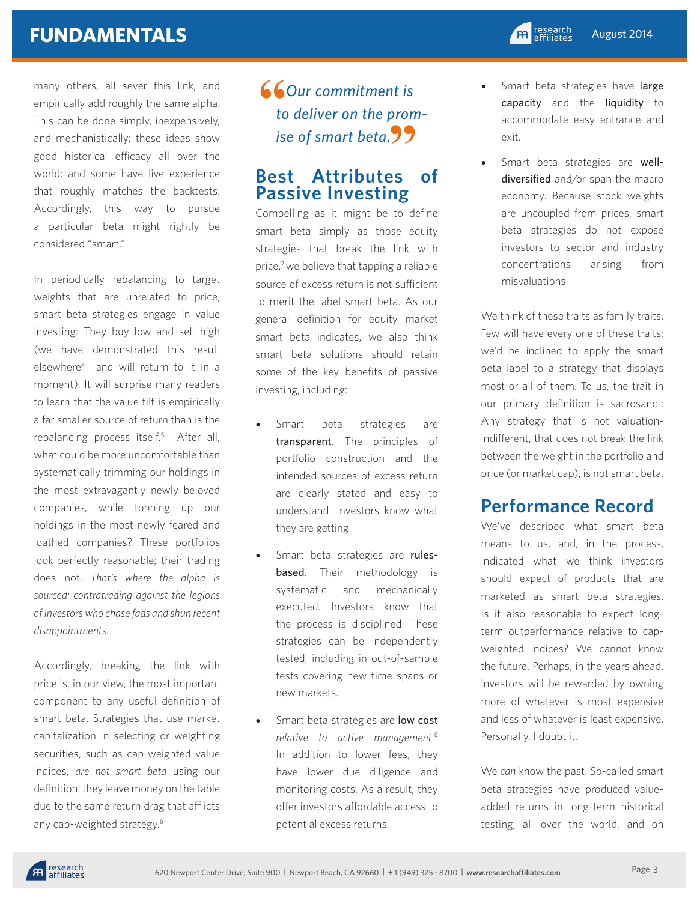## **FUNDAMENTALS**

many others, all sever this link, and empirically add roughly the same alpha. This can be done simply, inexpensively, and mechanistically; these ideas show good historical efficacy all over the world; and some have live experience that roughly matches the backtests. Accordingly, this way to pursue a particular beta might rightly be considered "smart."

In periodically rebalancing to target weights that are unrelated to price, smart beta strategies engage in value investing: They buy low and sell high (we have demonstrated this result elsewhere4 and will return to it in a moment). It will surprise many readers to learn that the value tilt is empirically a far smaller source of return than is the rebalancing process itself.<sup>5</sup> After all, what could be more uncomfortable than systematically trimming our holdings in the most extravagantly newly beloved companies, while topping up our holdings in the most newly feared and loathed companies? These portfolios look perfectly reasonable; their trading does not. *That's where the alpha is sourced: contratrading against the legions of investors who chase fads and shun recent disappointments*.

Accordingly, breaking the link with price is, in our view, the most important component to any useful definition of smart beta. Strategies that use market capitalization in selecting or weighting securities, such as cap-weighted value indices, *are not smart beta* using our definition: they leave money on the table due to the same return drag that afflicts any cap-weighted strategy.6

#### *Our commitment is to deliver on the prom*ise of smart beta. $99$ **66**<br>to

#### **Best Attributes of Passive Investing**

Compelling as it might be to define smart beta simply as those equity strategies that break the link with price,<sup>7</sup> we believe that tapping a reliable source of excess return is not sufficient to merit the label smart beta. As our general definition for equity market smart beta indicates, we also think smart beta solutions should retain some of the key benefits of passive investing, including:

- Smart beta strategies are transparent. The principles of portfolio construction and the intended sources of excess return are clearly stated and easy to understand. Investors know what they are getting.
- Smart beta strategies are rules**based**. Their methodology is systematic and mechanically executed. Investors know that the process is disciplined. These strategies can be independently tested, including in out-of-sample tests covering new time spans or new markets.
- Smart beta strategies are low cost *relative to active management*. 8 In addition to lower fees, they have lower due diligence and monitoring costs. As a result, they offer investors affordable access to potential excess returns.
- Smart beta strategies have large capacity and the liquidity to accommodate easy entrance and exit.
- Smart beta strategies are welldiversified and/or span the macro economy. Because stock weights are uncoupled from prices, smart beta strategies do not expose investors to sector and industry concentrations arising from misvaluations.

We think of these traits as family traits. Few will have every one of these traits; we'd be inclined to apply the smart beta label to a strategy that displays most or all of them. To us, the trait in our primary definition is sacrosanct: Any strategy that is not valuationindifferent, that does not break the link between the weight in the portfolio and price (or market cap), is not smart beta.

## **Performance Record**

We've described what smart beta means to us, and, in the process, indicated what we think investors should expect of products that are marketed as smart beta strategies. Is it also reasonable to expect longterm outperformance relative to capweighted indices? We cannot know the future. Perhaps, in the years ahead, investors will be rewarded by owning more of whatever is most expensive and less of whatever is least expensive. Personally, I doubt it.

We *can* know the past. So-called smart beta strategies have produced valueadded returns in long-term historical testing, all over the world, and on

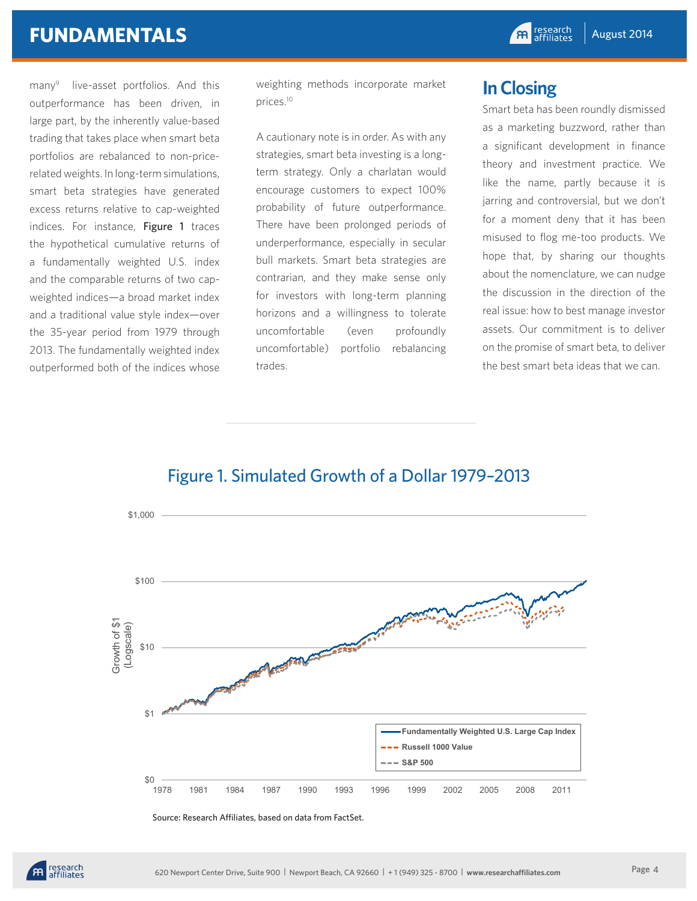#### **FUNDAMENTALS**

many<sup>9</sup> live-asset portfolios. And this outperformance has been driven, in large part, by the inherently value-based trading that takes place when smart beta portfolios are rebalanced to non-pricerelated weights. In long-term simulations, smart beta strategies have generated excess returns relative to cap-weighted indices. For instance, Figure 1 traces the hypothetical cumulative returns of a fundamentally weighted U.S. index and the comparable returns of two capweighted indices—a broad market index and a traditional value style index—over the 35-year period from 1979 through 2013. The fundamentally weighted index outperformed both of the indices whose

weighting methods incorporate market prices.10

A cautionary note is in order. As with any strategies, smart beta investing is a longterm strategy. Only a charlatan would encourage customers to expect 100% probability of future outperformance. There have been prolonged periods of underperformance, especially in secular bull markets. Smart beta strategies are contrarian, and they make sense only for investors with long-term planning horizons and a willingness to tolerate uncomfortable (even profoundly uncomfortable) portfolio rebalancing trades.

### **In Closing**

Smart beta has been roundly dismissed as a marketing buzzword, rather than a significant development in finance theory and investment practice. We like the name, partly because it is jarring and controversial, but we don't for a moment deny that it has been misused to flog me-too products. We hope that, by sharing our thoughts about the nomenclature, we can nudge the discussion in the direction of the real issue: how to best manage investor assets. Our commitment is to deliver on the promise of smart beta, to deliver the best smart beta ideas that we can.



#### Figure 1. Simulated Growth of a Dollar 1979–2013

Source: Research Affiliates, based on data from FactSet.